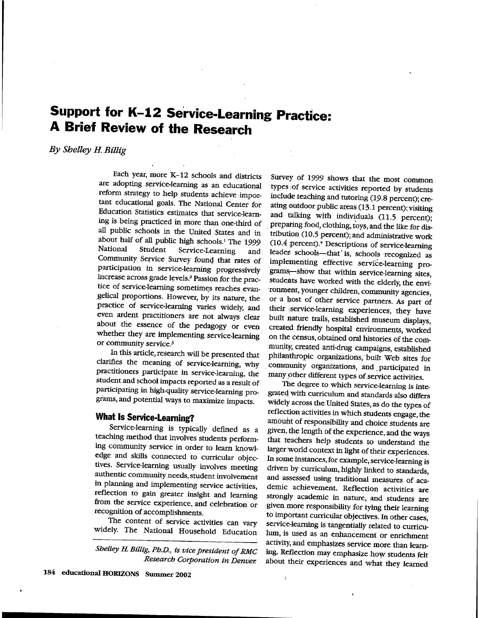## **Support for K-12 Service-Learning Practice: A Brief Review of the Research**

## By Shelley H. Billig

Each year, more K-12 schools and districts are adopting service-learning as an educational reform strategy to help students achieve :important educational goals. The National Center for Education Statistics estimates that service-learning is being practiced in. more than one-third of all public schools in the United States and in about half of all public high schools.<sup>1</sup> The 1999<br>National Student Service-Learning and Student Service-Learning and Community Service Survey founq that rates of participation in service-leammg progressively increase across grade levels .2 Passion for the practice of service-learning sometimes reaches evan-\_gelical proportions. However, by its nature, the practice of service-learning varies widely, and even ardent practitioners are not always clear about the essence of the pedagogy or even whether they are implementing service-learning or community service.<sup>3</sup>

In this article, research will be presented that clarifies the meaning of service-learning, why practitioners participate in service-learning, the student and school impacts reported as a result of participating in high-quality service-learning pro<sup>g</sup>iams, and potential ways to maximize impacts.

## **What Is Service-Learning?**

Service-learning is typically defmed as a teaching method that involves students performing community service in order to learn knowledge and skills connected to curricular objectives. Service-learning usually involves meeting authentic community needs, student involvement in planning and implementing service activities, reflection to gain greater insight and learning from the service experience, and celebration or recognition of accomplishments.

The content of service activities can vary widely. The National Household Education

*Shelley H. Billig, Ph.D., is vice president of RMC Research Corporation in Denver.* 

Survey of 1999 shows that the most common types :of service activities reported by students include teaching and tutoring (19.8 percent); creating outdoor public areas (13.1 percent); visiting and talking with individuals  $(11.5 \text{ percent})$ ; preparing food, clothing, toys, and the like for distribution (10.5 percent); and administrative work (10.4 percent).• Descriptions of service-learning leader schools-that' is, schools recognized as implementing effective service-learning programs-show that within service-learning sites, students have worked with the elderly, the environment, younger children, community agencies, or a host of other service partners. As part of their service-learning experiences, they have built nature trails, established museum displays, created friendly hospital environments, worked on the census, obtained oral histories of the community, created anti-drug campaigns, established philanthropic organizations, built Web sites for . community organizations, and . participated in many pther different types of. service activities. The degree to which service-learning is inte-

grated, with curriculum and standards also differs widely across the United States, as do the types of reflection activities in which students engage, the amount of responsibility and choice students are <sup>g</sup>iven, the length of the experience, and the ways that teachers help students to understand the larger:world context in light of their experiences. In some instances, for example, service-learning is driven by curriculum, highly linked to standards, and assessed using traditional measures of academic achievement. Reflection activities are strongly academic in nature, and students are <sup>g</sup>iven more responsibility for tying their learning to important curricular objectives. In other cases, service-learning is tangentially related to curriculum, is used as an enhancement or enrichment activity, and emphasizes service more than learning. Reflection may emphasize how students felt about their experiences and what they learned

 $\frac{1}{2}$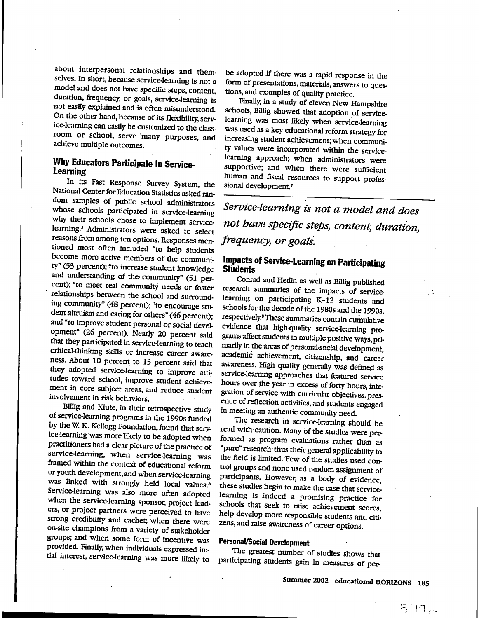about interpersonal relationships and themselves. In short, because service-learning is not a model and does not have specific steps, content, duration, frequency, or goals, service-learning is not easily explained and is often misunderstood. On the other hand, because of its flexibility, service-learning can easily be customized to the classroom or school, serve 'many purposes, and achieve multiple outcomes.

# **Why Educators Participate**

In its Fast Response Survey System, the National Center for Education Statistics asked random samples of public school administrators whose schools participated in service-learning why their schools chose to implement servicelearning.<sup>5</sup> Administrators were asked to select reasons from among ten options. Responses mentioned most often included "to help students become more active members of the community" (53 percent); "to increase student knowledge and understanding of the· community" (51 percent); "to meet real community needs or foster relationships between the school and surrounding community" (48 percent); "to encourage student altruism and caring for others" (46 percent); and "to improve student personal or social development" (26 percent). Nearly 20 percent said that they participated in service-learning to teach critical-thinking skills or increase career awareness. About 10 percent to 15 percent said that they adopted service-learning to improve attitudes toward school, improve student achievement in core subject areas, and reduce student involvement in risk behaviors.

Billig and Klute, in their retrospective study of service-learning programs in the 1990s funded by the W. K. Kellogg Foundation, found that service-learning was more likely to be adopted when practitioners had a clear picture of the practice of service-learning, when service-learning was framed within the context of educational reform or youth development, and when service-learning was linked with strongly held local values.<sup>6</sup> Service-learning was also more often adopted when the service-learning sponsor, project leaders, or project partners were perceived to have strong credibility and cachet; when there were on-site champions from a variety of stakeholder groups; and when some form of incentive was provided. Finally, when individuals expressed initial interest, service-learning was more likely to

be adopted if there was a rapid response in the form of presentations, materials, answers to questions, and examples of quality practice.

Finally, in a study of eleven New Hampshire schools, Billig showed that adoption of servicelearning was most likely when service-learning was used as a key educational reform strategy for increasing student achievement; when community values were incorporated within the servicelearning approach; when administrators were supportive; and when there were sufficient human and fiscal resources to support profes-<br>sional development.<sup>7</sup>

*Service-learning is not a model and does not have specific steps, content, duration, frequency, or goalS.* 

## **Impacts of Service-Learning on Participating Students**

Conrad and Hedin as well as Billig published research summaries of the impacts of servicelearning on participating K-12 students and schools for the decade of the 1980s and the 1990s, respectively.<sup>8</sup> These summaries contain cumulative evidence that high-quality service-learning programs affect students in multiple positive ways, primarily in the areas of personal·social development, academic achievement, citizenship, and career awareness. High quality generally was defined as service-learning approaches that featured service hours over the year in excess of forty hours, integration of service with curricular objectives, presence of reflection activities, and students engaged in meeting an authentic community need.

The research in service-learning should be read with ·caution. Many of the studies were performed as program evaluations rather than as "pure" research; thus their general applicability to the field is limited: Few of the studies used control groups and none used random assignment of participants. However, as a body of evidence, these studies begin to make the case that servicelearning is indeed a promising practice for schools that seek to raise achievement scores, help develop more responsible students and citizens, and raise awareness of career options.

### **PersonaVSocial Development**

The greatest number of studies shows that participating students gain in measures of per-

•' ·,.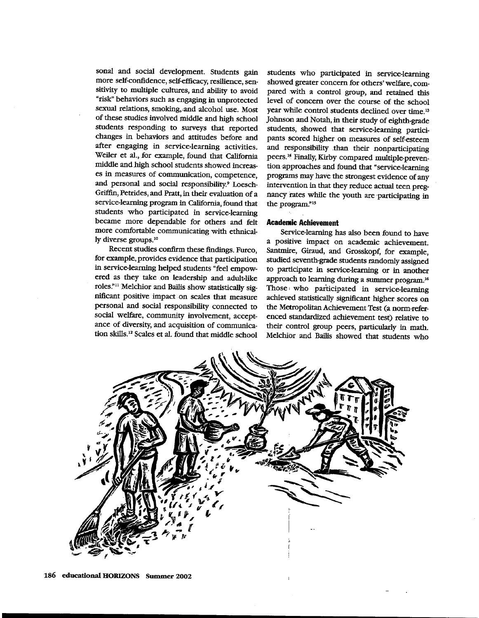sonal and social development. Students gain more self-confidence, self-efficacy, resilience, sensitivity to multiple cultures, and ability to avoid "risk" behaviors such as engaging in unprotected sexual relations, smoking,,and alcohol use. Most of these studies involved middle and high school students responding to surveys that reported changes in behaviors and attitudes before and after engaging in service-learning activities. Weiler et al., for example, found that California middle and high school students showed increases in measures of communication, competence, and personal and social responsibility.<sup>9</sup> Loesch-Griffin, Petrides, and Pratt, in their evaluation of <sup>a</sup> service-learning program in California, found that students who participated in service-learning became more dependable for others and felt more comfortable communicating with ethnically diverse groups.<sup>10</sup>

Recent studies confirm these findings. Furco, for example, provides evidence that participation in service-learning helped students "feel empowered as they take .on leadership and adult-like roles."<sup>11</sup> Melchior and Bailis show statistically significant positive impact on scales that measure personal and social responsibility connected to social welfare, community involvement, acceptance of diversity, and acquisition of communication skills.<sup>12</sup> Scales et al. found that middle school

students who participated in service-learning showed greater concern for others' welfare, compared with a control group, and retained this level of concern over the course of the school year while control students declined over time. <sup>1</sup> ' Johnson and Notah, in their study of eighth-grade students, showed that service-learning participants scored higher on measures of self-esteem and responsibility .than their nonparticipating peers.<sup>14</sup> Finally, Kirby compared multiple-prevention approaches and found that "service-learning programs may have the strongest evidence of any intervention in that they reduce actual teen pregnancy rates while the youth are participating in the program."<sup>15</sup>

#### **Acade•ic Achievement**

Service-learning has also been found to have a positive impact on academic achievement. Santmire, Giraud, and Grosskopf, for example, studied seventh-grade students randomly assigned to participate in service-learning or in another approach to learning during a summer program.<sup>16</sup> Those ' who participated in service-learning achievced statistically significant higher scores on the Metropolitan Achievement Test (a norm-referenced standardized achievement test) relative to their control group peers, particularly in math. Melchior and Bailis showed that students who

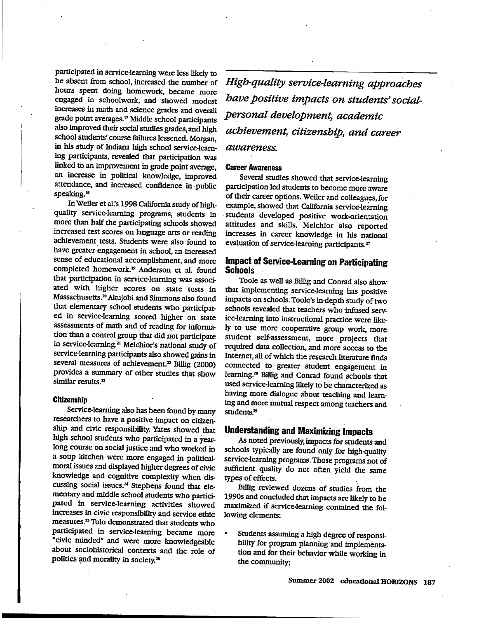participated in service-learning were less likely to be absent from school, increased the number of hours spent doing homework, became more engaged in schoolwork, and ·showed modest increases in math and science grades and overall grade point averages.<sup>1</sup> ' Middle school participants also improved their social studies grades, and high school students' course fuilures lessened. Morgan, in his study of Indiana high school service-learning participants, revealed that participation was linked to an improvement in grade point average, an increase in political knowledge, improved attendance, and increased confidence in ·public speaking.<sup>18</sup>

In Weiler et al.'s 1998 California study of highquality service-learning programs, students in more than half the participating schools showed increased test scores on language arts or reading achievement tests. Students were also found to have greater engagement in school, an increased sense of educational accomplishment, and more completed homework.<sup>19</sup> Anderson et al. found that participation in service-learning was associated with higher scores on state tests in Massachusetts.<sup>20</sup>Akujobi and Simmons also found that elementary school students who participated in service-learning scored higher on state assessments of math and of reading for information than a control group that did not participate in service-learning.<sup>21</sup> Melchior's national study of service-learning participants also showed gains in several measures of achievement.<sup>22</sup> Billig (2000) provides a summary of other studies that show similar results.<sup>25</sup>

#### **Citizenship**

Service-learning also has been found by many researchers to have a positive impact on citizenship and civic responsibility. Yates showed that<br>high school students who participated in a yearlong course on social justice and who worked in <sup>a</sup>soup kitchen were more engaged in politicalmoral issues and displayed higher degrees of civic knowledge and cognitive complexity when discussing social issues.<sup>24</sup> Stephens found that elementary and middle school students who participated in service-learning activities showed increases in civic responsibility and service ethic measures.<sup>25</sup> Tolo demonstrated that students who participated in service-learning became more "civic minded" and were more knowledgeable about sociohistorical contexts and the role of politics and morality in society.<sup>26</sup>

*High-quality service-learning approaches have positive impacts on students' socialpersonal development, academic achievement, citizenship, and career awareness.* 

#### Career Awareness

Several studies showed that service-learning participation led students to become more aware of their career options. Weiler and colleagues, for example, showed that California service-learning . students developed positive work-orientation attitudes and skills. Melchior also reported increases in career knowledge in his national evaluation of service-learning participants.<sup>27</sup>

## Impact of Service-Learning on Participating Schools

Toole as well as Billig and Conrad also show that implementing service-learning has positive impacts on schools. Toole's in-depth study of two schools revealed that teachers who infused service-learning into instructional practice were likely to use more cooperative group work, more student self-assessment, more projects that required data collection, and more access to the Internet, all of which the research literature finds connected to greater student engagement in learning.<sup>28</sup> Billig and Conrad found schools that used service-learning likely to be characterized as having more dialogue about teaching and learning and more mutual respect among teachers and students.<sup>29</sup>

## Understanding and Maximizing Impacts

As noted previously, impacts for students and schools typically are found only for high-quality service-learning programs. Those programs not of sufficient quality do not often yield the same types of effects.

Billig reviewed dozens of studies from the 1990s and concluded that impacts are likely to be maximized if service-learning contained the following elements:

• Students assuming a high degree of responsibility for program planning and implementation and for their behavior while working in the community;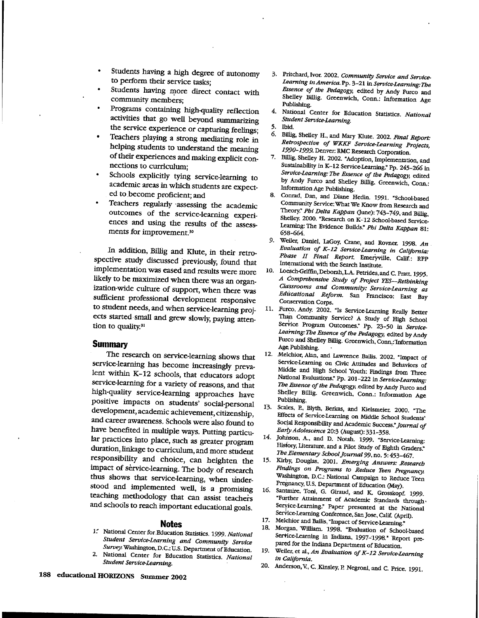- Students having a high degree of autonomy to perform their service tasks;
- Students having more direct contact with community members;
- Programs containing high-quality reflection activities that go well beyond summarizing the service experience or capturing feelings;
- Teachers playing a strong mediating role in helping students to understand the meaning of their experiences and making explicit connections to curriculum;
- Schools explicitly tying service-learning to academic areas in which students are expected to.become proficient; and
- Teachers regularly ·assessing the academic outcomes of the service-learning experiences and using the results of the assessments for improvement.<sup>30</sup>

ln addition, Billig and Klute, in their retrospective study discussed previously, found that implementation was eased and results were more likely to be maximized when there was an organization-wide culture of support, when there was .sufficient professional development responsive to student needs, and when service-learning projects started small and grew slowly, paying attention to quality.<sup>31</sup>

#### **Summary**

The research on service-learning shows that service-learning has become increasingly prevalent within K-12 schools, that educators adopt service-learning for a variety of reasons, and that high-quality service-learning approaches have positive impacts on students' social-personal development, academic achievement, citizenship, and career awareness. Schools were also found to have benefited in multiple ways. Putting particular practices into place, such as greater program duration, linkage to curriculum, and more student responsibility and choice, can heighten the impact of service-learning. The body of research thus shows that service-learning, when understood and implemented well, is a promising teaching methodology that can assist teachers and schools to reach important educational goals.

#### **Notes**

- 1. National Center for Education Statistics. 1999. National *Student Service-Learning and Community Service Surve;!* Washington, D.C.: U.S. Department of Education.
- 2. National Center for Education Statistics. *National Student Service-Learning.*
- 3. Pritchard,.Ivor. 2002. *Communiry Service and Service-Learning in America.* Pp. 3-21 in *Service-Learning:The Essence of the Pedagog;\* edited by Mdy Furco and Shelley Billig. Greenwich, Conn.: Information Age Publishing.
- 4. National Center for Education Statistics. *Natiomil Student Service-Learning.*
- 5. Ibid.
- 6. Biliig, Shelley H., and Mary Klute. 2002. *Final Report: Retrospective of* WKKF *Service-Learning Projects, 1.9.90-1.9.9.9.* Denver: RMC Research Corporation.
- 7. Billig, Shelley H. 2002. "Adoption, Implementation, and Sustainability in K-12 Service-Learning." Pp. 245-266 in *Service-Learning: The Essence of the Pedagog;\* edited by Andy Furco and Shelley Billig. Greenwich, Conn.: Information Age Publishing.
- 8. Conrad, Dan, and Diane Hedin. 1991. "School-based Community Service: What We Know from Research and Theory." *Phi Delta Kappan* Qune): 743-749, and Billig, Shelley. 2000. "Research on K-'12 School-based Service-Learning: The Evidence Builds." *Phi Delta Kappan* 81: 658-664.
- 9. Weiler, Daniel, I.aGoy, Crane, and Rovner. 1998. *An Evaluation of K-12 Service-Learning in California:*  Phase II Final Report. Emeryville, Calif.: RPP International with the Search Institute.
- 10. Loe8ch-Griffin,Deborah,L.A. Petrides, and C. Pratt. 1995. *A Comprehensive Study of Project YES-Rethinking Classrooms and Community: Service-Learning* as *Educational Reform.* San Francisco: East Bay Conservation Corps.
- 11. Furco, Andy. 2002. "Is Service-Learning Really Better Than Community Service? A Study of High School Service Program Outcomes." Pp. 23-50 in Service-*Learning: The Essence of the Pedagogy,* edited by Andy Furco and Shelley Billig. Greenwich, Conn,: Information Age Publishing.
- 12. Melchior, Alan, and Lawrence Bailis. 2002. "Impact of Service-Learning on Civic Attitudes and Behaviors of Middle and High School Youth: Findings from Three National Evaluations." Pp. 201-222 in *Service-Learning: The Essence of the Pedagog;•,* .edited by Andy Furco and Shelley Billig. Greenwich, Conn.: Information Age Publishing.
- 13. Scales, P., Blyth, Berkas, and Kielsmeier. 2000. "The Effects of Service-Learning on Middle School Students' Social Responsibility and Academic Success." *Journal of Early Adolescence* 20:3 (August): 331-358.
- 14. Johnson, A., and D. Notah. 1999. "Service-Learning: History, Literature, and a Pilot Study of Eighth Graders.· *Tbe.Elementary School journa/99,* no. 5: 453-467.
- 15. Kirby, Douglas. 2001. *Emerging Answers: Research Fint,lings on Programs to Reduce Then Pregnancy.*  Wa5hington, D.C.: National Campaign to Reduce Teen Pregnancy, U.S. Department of Education (May).
- 16. Santmire. Toni, G. Giraud, and K. Grosskopf. 1999. "Further Attainment of Academic Standards through· Seryice-Leaming." Paper presented at the National Service-Learning Conference, San Jose, Calif. (April).
- 17. Melchior and Bailis, "Impact of Service-Learning."<br>18. Morgan. William 1909, "The Service-Learning."
- 18. Morgan, Willlam. 1998. "Evaluation of School-based Service-Learning in Indiana, 1997-1998." Report prepared for the Indiana Department of Education.
- 19. Weiler, et al., *An Evaluation of K-12 Service-Learning in California.*
- 20. Anderson, V., C. Kinsley, P. Negroni, and C. Price. 1991.